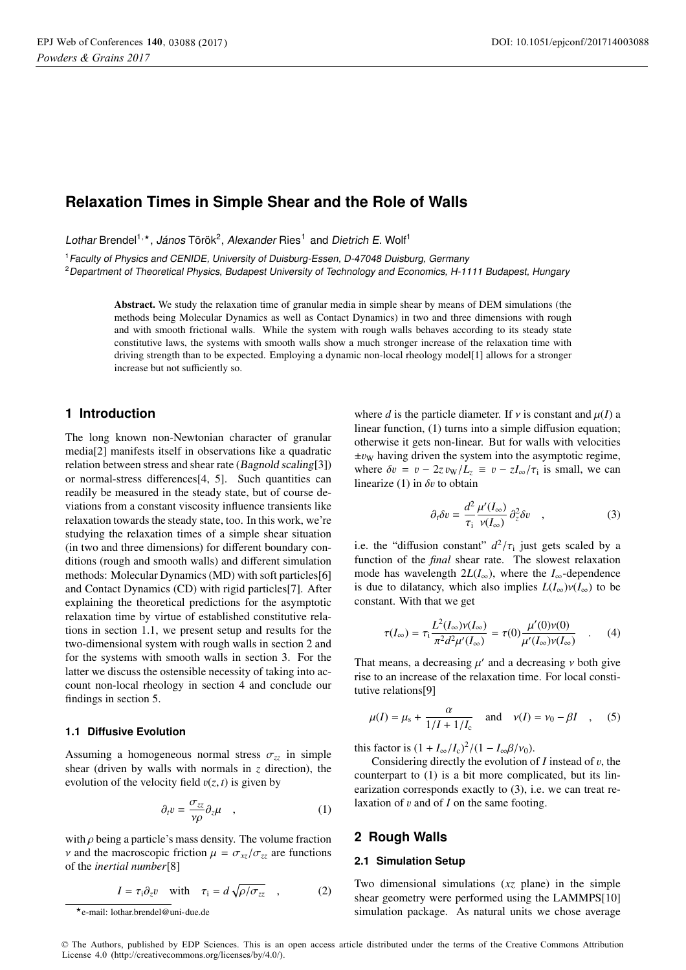# **Relaxation Times in Simple Shear and the Role of Walls**

Lothar Brendel<sup>1,\*</sup>, János Török<sup>2</sup>, Alexander Ries<sup>1</sup> and Dietrich E. Wolf<sup>1</sup>

<sup>1</sup>Faculty of Physics and CENIDE, University of Duisburg-Essen, D-47048 Duisburg, Germany

<sup>2</sup>Department of Theoretical Physics, Budapest University of Technology and Economics, H-1111 Budapest, Hungary

Abstract. We study the relaxation time of granular media in simple shear by means of DEM simulations (the methods being Molecular Dynamics as well as Contact Dynamics) in two and three dimensions with rough and with smooth frictional walls. While the system with rough walls behaves according to its steady state constitutive laws, the systems with smooth walls show a much stronger increase of the relaxation time with driving strength than to be expected. Employing a dynamic non-local rheology model[1] allows for a stronger increase but not sufficiently so.

## **1 Introduction**

The long known non-Newtonian character of granular media[2] manifests itself in observations like a quadratic relation between stress and shear rate (*Bagnold scaling*[3]) or normal-stress differences[4, 5]. Such quantities can readily be measured in the steady state, but of course deviations from a constant viscosity influence transients like relaxation towards the steady state, too. In this work, we're studying the relaxation times of a simple shear situation (in two and three dimensions) for different boundary conditions (rough and smooth walls) and different simulation methods: Molecular Dynamics (MD) with soft particles[6] and Contact Dynamics (CD) with rigid particles[7]. After explaining the theoretical predictions for the asymptotic relaxation time by virtue of established constitutive relations in section 1.1, we present setup and results for the two-dimensional system with rough walls in section 2 and for the systems with smooth walls in section 3. For the latter we discuss the ostensible necessity of taking into account non-local rheology in section 4 and conclude our findings in section 5.

### **1.1 Diffusive Evolution**

Assuming a homogeneous normal stress  $\sigma_{zz}$  in simple shear (driven by walls with normals in *z* direction), the evolution of the velocity field  $v(z, t)$  is given by

$$
\partial_t v = \frac{\sigma_{zz}}{\gamma \rho} \partial_z \mu \quad , \tag{1}
$$

with  $\rho$  being a particle's mass density. The volume fraction *v* and the macroscopic friction  $\mu = \sigma_{xz}/\sigma_{zz}$  are functions of the *inertial number*[8]

$$
I = \tau_i \partial_z v \quad \text{with} \quad \tau_i = d \sqrt{\rho / \sigma_{zz}} \quad , \tag{2}
$$

where *d* is the particle diameter. If  $\nu$  is constant and  $\mu(I)$  a linear function, (1) turns into a simple diffusion equation; otherwise it gets non-linear. But for walls with velocities  $\pm v_{\rm W}$  having driven the system into the asymptotic regime, where  $\delta v = v - 2z v_{\rm W}/L_z \equiv v - zI_{\rm \infty}/\tau_{\rm i}$  is small, we can linearize (1) in  $\delta v$  to obtain

$$
\partial_t \delta v = \frac{d^2}{\tau_i} \frac{\mu'(I_{\infty})}{\nu(I_{\infty})} \partial_z^2 \delta v \quad , \tag{3}
$$

i.e. the "diffusion constant"  $d^2/\tau_i$  just gets scaled by a function of the *final* shear rate. The slowest relaxation mode has wavelength  $2L(I_{\infty})$ , where the  $I_{\infty}$ -dependence is due to dilatancy, which also implies  $L(I_{\infty})v(I_{\infty})$  to be constant. With that we get

$$
\tau(I_{\infty}) = \tau_{\rm i} \frac{L^2(I_{\infty}) \nu(I_{\infty})}{\pi^2 d^2 \mu'(I_{\infty})} = \tau(0) \frac{\mu'(0) \nu(0)}{\mu'(I_{\infty}) \nu(I_{\infty})} \quad . \tag{4}
$$

That means, a decreasing  $\mu'$  and a decreasing  $\nu$  both give rise to an increase of the relaxation time. For local constitutive relations[9]

$$
\mu(I) = \mu_s + \frac{\alpha}{1/I + 1/I_c}
$$
 and  $\nu(I) = \nu_0 - \beta I$ , (5)

this factor is  $(1 + I_{\infty}/I_{\rm c})^2/(1 - I_{\infty}\beta/\nu_0)$ .<br>Considering directly the evolution of

Considering directly the evolution of  $I$  instead of  $v$ , the counterpart to (1) is a bit more complicated, but its linearization corresponds exactly to (3), i.e. we can treat relaxation of v and of *<sup>I</sup>* on the same footing.

#### **2 Rough Walls**

#### **2.1 Simulation Setup**

Two dimensional simulations (*xz* plane) in the simple shear geometry were performed using the LAMMPS[10] simulation package. As natural units we chose average

© The Authors, published by EDP Sciences. This is an open access article distributed under the terms of the Creative Commons Attribution License 4.0 (http://creativecommons.org/licenses/by/4.0/).

<sup>-</sup>e-mail: lothar.brendel@uni-due.de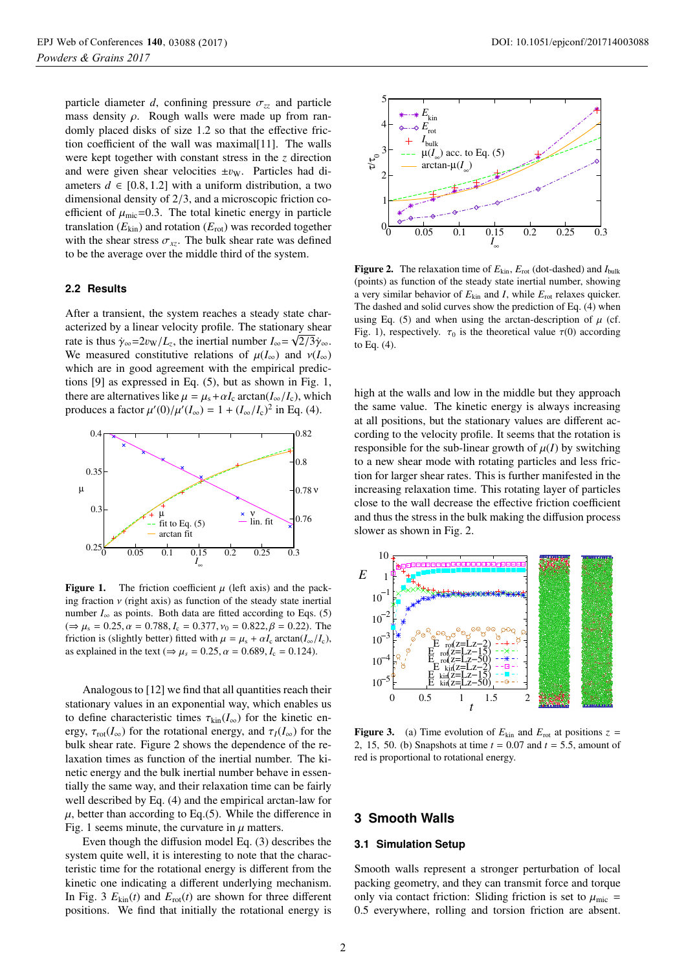particle diameter *d*, confining pressure  $\sigma_{zz}$  and particle mass density  $\rho$ . Rough walls were made up from randomly placed disks of size 1.2 so that the effective friction coefficient of the wall was maximal[11]. The walls were kept together with constant stress in the *z* direction and were given shear velocities  $\pm v_{\rm W}$ . Particles had diameters  $d \in [0.8, 1.2]$  with a uniform distribution, a two dimensional density of 2/3, and a microscopic friction coefficient of  $\mu_{\text{mic}}$ =0.3. The total kinetic energy in particle translation  $(E_{kin})$  and rotation  $(E_{rot})$  was recorded together with the shear stress  $\sigma_{xz}$ . The bulk shear rate was defined to be the average over the middle third of the system.

#### **2.2 Results**

After a transient, the system reaches a steady state characterized by a linear velocity profile. The stationary shear rate is thus  $\dot{\gamma}_{\infty} = 2v_W/L_z$ , the inertial number  $I_{\infty} = \sqrt{2/3} \dot{\gamma}_{\infty}$ .<br>We measured constitutive relations of  $\mu(L)$  and  $\nu(L)$ We measured constitutive relations of  $\mu(I_{\infty})$  and  $\nu(I_{\infty})$ which are in good agreement with the empirical predictions [9] as expressed in Eq. (5), but as shown in Fig. 1, there are alternatives like  $\mu = \mu_s + \alpha I_c$  arctan( $I_{\infty}/I_c$ ), which produces a factor  $\mu'(0)/\mu'(I_{\infty}) = 1 + (I_{\infty}/I_{c})^{2}$  in Eq. (4).



**Figure 1.** The friction coefficient  $\mu$  (left axis) and the packing fraction  $\nu$  (right axis) as function of the steady state inertial number  $I_{\infty}$  as points. Both data are fitted according to Eqs. (5)  $(\Rightarrow \mu_s = 0.25, \alpha = 0.788, I_c = 0.377, \nu_0 = 0.822, \beta = 0.22)$ . The friction is (slightly better) fitted with  $\mu = \mu_s + \alpha I_c$  arctan( $I_{\infty}/I_c$ ), as explained in the text ( $\Rightarrow \mu_s = 0.25$ ,  $\alpha = 0.689$ ,  $I_c = 0.124$ ).

Analogous to [12] we find that all quantities reach their stationary values in an exponential way, which enables us to define characteristic times  $\tau_{kin}(I_{\infty})$  for the kinetic energy,  $\tau_{\text{rot}}(I_{\infty})$  for the rotational energy, and  $\tau_I(I_{\infty})$  for the bulk shear rate. Figure 2 shows the dependence of the relaxation times as function of the inertial number. The kinetic energy and the bulk inertial number behave in essentially the same way, and their relaxation time can be fairly well described by Eq. (4) and the empirical arctan-law for  $\mu$ , better than according to Eq.(5). While the difference in Fig. 1 seems minute, the curvature in  $\mu$  matters.

Even though the diffusion model Eq. (3) describes the system quite well, it is interesting to note that the characteristic time for the rotational energy is different from the kinetic one indicating a different underlying mechanism. In Fig. 3  $E_{kin}(t)$  and  $E_{rot}(t)$  are shown for three different positions. We find that initially the rotational energy is



Figure 2. The relaxation time of  $E_{kin}$ ,  $E_{rot}$  (dot-dashed) and  $I_{bulk}$ (points) as function of the steady state inertial number, showing a very similar behavior of  $E_{kin}$  and *I*, while  $E_{rot}$  relaxes quicker. The dashed and solid curves show the prediction of Eq. (4) when using Eq. (5) and when using the arctan-description of  $\mu$  (cf. Fig. 1), respectively.  $\tau_0$  is the theoretical value  $\tau(0)$  according to Eq. (4).

high at the walls and low in the middle but they approach the same value. The kinetic energy is always increasing at all positions, but the stationary values are different according to the velocity profile. It seems that the rotation is responsible for the sub-linear growth of  $\mu(I)$  by switching to a new shear mode with rotating particles and less friction for larger shear rates. This is further manifested in the increasing relaxation time. This rotating layer of particles close to the wall decrease the effective friction coefficient and thus the stress in the bulk making the diffusion process slower as shown in Fig. 2.



**Figure 3.** (a) Time evolution of  $E_{kin}$  and  $E_{rot}$  at positions  $z =$ <sup>2</sup>, <sup>15</sup>, 50. (b) Snapshots at time *<sup>t</sup>* <sup>=</sup> <sup>0</sup>.07 and *<sup>t</sup>* <sup>=</sup> <sup>5</sup>.5, amount of red is proportional to rotational energy.

## **3 Smooth Walls**

#### **3.1 Simulation Setup**

Smooth walls represent a stronger perturbation of local packing geometry, and they can transmit force and torque only via contact friction: Sliding friction is set to  $\mu_{\text{mic}}$  = <sup>0</sup>.5 everywhere, rolling and torsion friction are absent.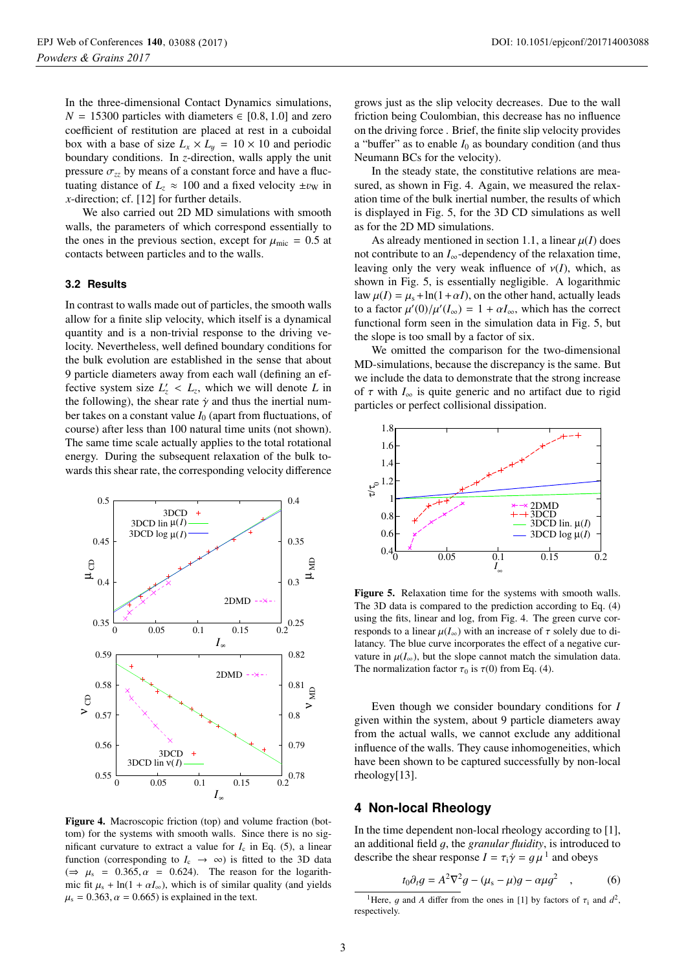In the three-dimensional Contact Dynamics simulations,  $N = 15300$  particles with diameters  $\in [0.8, 1.0]$  and zero coefficient of restitution are placed at rest in a cuboidal box with a base of size  $L_x \times L_y = 10 \times 10$  and periodic boundary conditions. In *z*-direction, walls apply the unit pressure  $\sigma_{zz}$  by means of a constant force and have a fluctuating distance of  $L_z \approx 100$  and a fixed velocity  $\pm v_{\rm W}$  in *x*-direction; cf. [12] for further details.

We also carried out 2D MD simulations with smooth walls, the parameters of which correspond essentially to the ones in the previous section, except for  $\mu_{\text{mic}} = 0.5$  at contacts between particles and to the walls.

#### **3.2 Results**

In contrast to walls made out of particles, the smooth walls allow for a finite slip velocity, which itself is a dynamical quantity and is a non-trivial response to the driving velocity. Nevertheless, well defined boundary conditions for the bulk evolution are established in the sense that about 9 particle diameters away from each wall (defining an effective system size  $L'_z < L_z$ , which we will denote *L* in the following) the shear rate  $\dot{x}$  and thus the inertial numthe following), the shear rate  $\dot{\gamma}$  and thus the inertial number takes on a constant value  $I_0$  (apart from fluctuations, of course) after less than 100 natural time units (not shown). The same time scale actually applies to the total rotational energy. During the subsequent relaxation of the bulk towards this shear rate, the corresponding velocity difference



Figure 4. Macroscopic friction (top) and volume fraction (bottom) for the systems with smooth walls. Since there is no significant curvature to extract a value for  $I_c$  in Eq. (5), a linear function (corresponding to  $I_c \rightarrow \infty$ ) is fitted to the 3D data  $(\Rightarrow \mu_s = 0.365, \alpha = 0.624)$ . The reason for the logarithmic fit  $\mu_s$  + ln(1 +  $\alpha I_\infty$ ), which is of similar quality (and yields  $\mu$ <sub>s</sub> = 0.363,  $\alpha$  = 0.665) is explained in the text.

grows just as the slip velocity decreases. Due to the wall friction being Coulombian, this decrease has no influence on the driving force . Brief, the finite slip velocity provides a "buffer" as to enable  $I_0$  as boundary condition (and thus Neumann BCs for the velocity).

In the steady state, the constitutive relations are measured, as shown in Fig. 4. Again, we measured the relaxation time of the bulk inertial number, the results of which is displayed in Fig. 5, for the 3D CD simulations as well as for the 2D MD simulations.

As already mentioned in section 1.1, a linear  $\mu(I)$  does not contribute to an  $I_{\infty}$ -dependency of the relaxation time, leaving only the very weak influence of  $v(I)$ , which, as shown in Fig. 5, is essentially negligible. A logarithmic law  $\mu(I) = \mu_s + \ln(1 + \alpha I)$ , on the other hand, actually leads to a factor  $\mu'(0)/\mu'(I_{\infty}) = 1 + \alpha I_{\infty}$ , which has the correct<br>functional form seen in the simulation data in Fig. 5, but functional form seen in the simulation data in Fig. 5, but the slope is too small by a factor of six.

We omitted the comparison for the two-dimensional MD-simulations, because the discrepancy is the same. But we include the data to demonstrate that the strong increase of  $\tau$  with  $I_{\infty}$  is quite generic and no artifact due to rigid particles or perfect collisional dissipation.



Figure 5. Relaxation time for the systems with smooth walls. The 3D data is compared to the prediction according to Eq. (4) using the fits, linear and log, from Fig. 4. The green curve corresponds to a linear  $\mu(I_{\infty})$  with an increase of  $\tau$  solely due to dilatancy. The blue curve incorporates the effect of a negative curvature in  $\mu(I_{\infty})$ , but the slope cannot match the simulation data. The normalization factor  $\tau_0$  is  $\tau(0)$  from Eq. (4).

Even though we consider boundary conditions for *I* given within the system, about 9 particle diameters away from the actual walls, we cannot exclude any additional influence of the walls. They cause inhomogeneities, which have been shown to be captured successfully by non-local rheology[13].

## **4 Non-local Rheology**

In the time dependent non-local rheology according to [1], an additional field g, the *granular fluidity*, is introduced to describe the shear response  $I = \tau_i \dot{\gamma} = q \mu^1$  and obeys

$$
t_0 \partial_t g = A^2 \nabla^2 g - (\mu_s - \mu) g - \alpha \mu g^2 \quad , \tag{6}
$$

<sup>&</sup>lt;sup>1</sup>Here, g and A differ from the ones in [1] by factors of  $\tau_i$  and  $d^2$ , respectively.